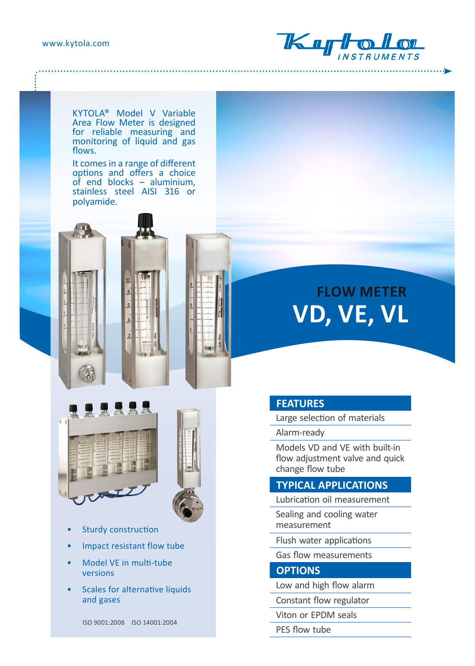www.kytola.com



KYTOLA® Model V Variable Area Flow Meter is designed for reliable measuring and monitoring of liquid and gas flows.

It comes in a range of different options and offers a choice of end blocks – aluminium, stainless steel AISI 316 or polyamide.



tion)



- Sturdy construction
- Impact resistant flow tube
- Model VE in multi-tube versions
- Scales for alternative liquids and gases

ISO 9001:2008 ISO 14001:2004

# **FLOW METER VD, VE, VL**

### **FEATURES**

Large selection of materials

Alarm-ready

Models VD and VE with built-in flow adjustment valve and quick change flow tube

#### **TYPICAL APPLICATIONS**

Lubrication oil measurement

Sealing and cooling water measurement

Flush water applications

Gas flow measurements

#### **OPTIONS**

Low and high flow alarm

Constant flow regulator

Viton or EPDM seals

PES flow tube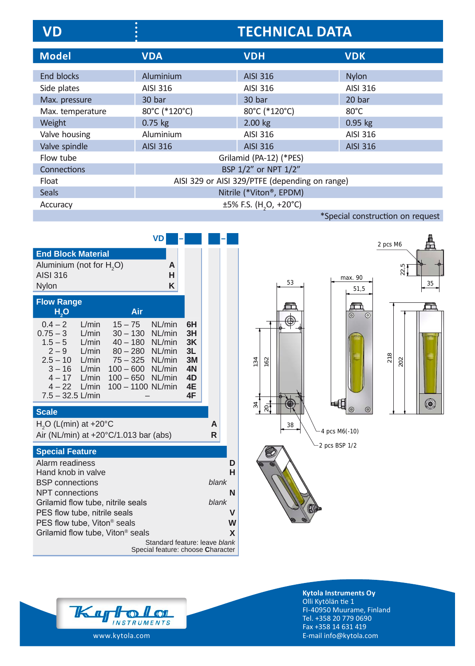| VD               | $\bullet$<br><b>TECHNICAL DATA</b>             |                                    |                                  |  |
|------------------|------------------------------------------------|------------------------------------|----------------------------------|--|
| <b>Model</b>     | <b>VDA</b>                                     | <b>VDH</b>                         | <b>VDK</b>                       |  |
| End blocks       | Aluminium                                      | <b>AISI 316</b>                    | <b>Nylon</b>                     |  |
| Side plates      | AISI 316                                       | AISI 316                           | AISI 316                         |  |
| Max. pressure    | 30 bar                                         | 30 bar                             | 20 bar                           |  |
| Max. temperature | 80°C (*120°C)                                  | 80°C (*120°C)                      | $80^{\circ}$ C                   |  |
| Weight           | $0.75$ kg                                      | 2.00 kg                            | $0.95$ kg                        |  |
| Valve housing    | Aluminium                                      | AISI 316                           | <b>AISI 316</b>                  |  |
| Valve spindle    | <b>AISI 316</b>                                | <b>AISI 316</b>                    | <b>AISI 316</b>                  |  |
| Flow tube        | Grilamid (PA-12) (*PES)                        |                                    |                                  |  |
| Connections      | BSP 1/2" or NPT 1/2"                           |                                    |                                  |  |
| Float            | AISI 329 or AISI 329/PTFE (depending on range) |                                    |                                  |  |
| <b>Seals</b>     |                                                | Nitrile (*Viton®, EPDM)            |                                  |  |
| Accuracy         |                                                | ±5% F.S. (H <sub>2</sub> O, +20°C) |                                  |  |
|                  |                                                |                                    | *Special construction on request |  |

|                                                        | VD                                  |                               |       |   |
|--------------------------------------------------------|-------------------------------------|-------------------------------|-------|---|
| <b>End Block Material</b>                              |                                     |                               |       |   |
| Aluminium (not for H <sub>2</sub> O)                   |                                     | A                             |       |   |
| <b>AISI 316</b><br><b>Nylon</b>                        |                                     | н<br>K                        |       |   |
|                                                        |                                     |                               |       |   |
| <b>Flow Range</b>                                      | Air                                 |                               |       |   |
| H,O                                                    |                                     |                               |       |   |
| $0.4 - 2$<br>$15 - 75$<br>L/min<br>$0.75 - 3$<br>L/min | NL/min<br>$30 - 130$<br>NL/min      | 6H<br>3H                      |       |   |
| $1.5 - 5$<br>L/min                                     | 40 - 180 NL/min                     | 3K                            |       |   |
| $2 - 9$<br>L/min                                       | 80 - 280 NL/min                     | 3L                            |       |   |
| $2.5 - 10$<br>L/min<br>$3 - 16$<br>L/min               | 75 - 325 NL/min<br>100 - 600 NL/min | 3M<br>4N                      |       |   |
| $4 - 17$<br>L/min                                      | 100 - 650 NL/min                    | 4D                            |       |   |
| $4-22$ L/min<br>$7.5 - 32.5$ L/min                     | 100 - 1100 NL/min                   | 4E<br>4F                      |       |   |
|                                                        |                                     |                               |       |   |
| <b>Scale</b>                                           |                                     |                               |       |   |
| $H2O$ (L(min) at +20 $^{\circ}$ C                      |                                     |                               | A     |   |
| Air (NL/min) at $+20^{\circ}C/1.013$ bar (abs)         |                                     |                               | R     |   |
| <b>Special Feature</b>                                 |                                     |                               |       |   |
| Alarm readiness                                        |                                     |                               |       | D |
| Hand knob in valve                                     |                                     |                               |       | н |
| <b>BSP</b> connections<br><b>NPT</b> connections       |                                     |                               | blank | N |
| Grilamid flow tube, nitrile seals                      |                                     |                               | blank |   |
| PES flow tube, nitrile seals                           |                                     |                               |       | v |
| PES flow tube, Viton <sup>®</sup> seals                |                                     |                               |       | W |
| Grilamid flow tube, Viton <sup>®</sup> seals           |                                     |                               |       | X |
|                                                        | Special feature: choose Character   | Standard feature: leave blank |       |   |
|                                                        |                                     |                               |       |   |







**Kytola Instruments Oy** Olli Kytölän tie 1 FI-40950 Muurame, Finland Tel. +358 20 779 0690 Fax +358 14 631 419 E-mail info@kytola.com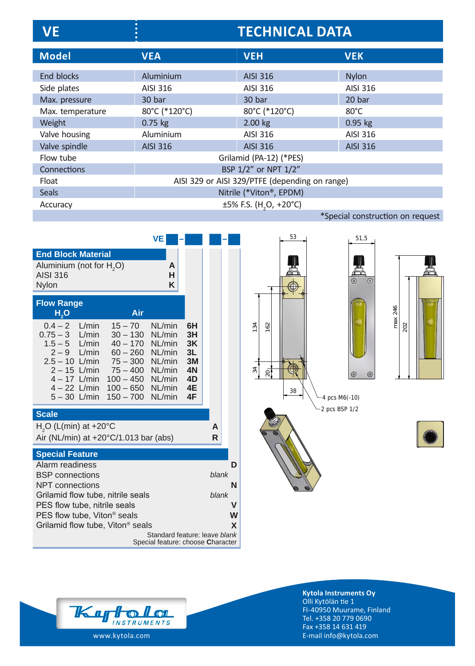| <b>VE</b>        | <b>TECHNICAL DATA</b>                          |                                          |                 |  |
|------------------|------------------------------------------------|------------------------------------------|-----------------|--|
| <b>Model</b>     | <b>VEA</b>                                     | <b>VEH</b>                               | <b>VEK</b>      |  |
| End blocks       | Aluminium                                      | <b>AISI 316</b>                          | <b>Nylon</b>    |  |
| Side plates      | AISI 316                                       | AISI 316                                 | AISI 316        |  |
| Max. pressure    | 30 bar                                         | 30 bar                                   | 20 bar          |  |
| Max. temperature | 80°C (*120°C)                                  | 80°C (*120°C)                            | $80^{\circ}$ C  |  |
| Weight           | $0.75$ kg                                      | $2.00$ kg                                | $0.95$ kg       |  |
| Valve housing    | Aluminium                                      | AISI 316                                 | AISI 316        |  |
| Valve spindle    | <b>AISI 316</b>                                | <b>AISI 316</b>                          | <b>AISI 316</b> |  |
| Flow tube        | Grilamid (PA-12) (*PES)                        |                                          |                 |  |
| Connections      | BSP 1/2" or NPT 1/2"                           |                                          |                 |  |
| Float            | AISI 329 or AISI 329/PTFE (depending on range) |                                          |                 |  |
| <b>Seals</b>     |                                                | Nitrile (*Viton®, EPDM)                  |                 |  |
| Accuracy         |                                                | $\pm 5\%$ F.S. (H <sub>2</sub> O, +20°C) |                 |  |
|                  | *Special construction on request               |                                          |                 |  |

|                                                                                                                                                                                                              |                                                                                                | VE                                   |                                                    |             |   |
|--------------------------------------------------------------------------------------------------------------------------------------------------------------------------------------------------------------|------------------------------------------------------------------------------------------------|--------------------------------------|----------------------------------------------------|-------------|---|
| <b>End Block Material</b><br>Aluminium (not for H <sub>2</sub> O)                                                                                                                                            |                                                                                                | A                                    |                                                    |             |   |
| <b>AISI 316</b><br>Nylon                                                                                                                                                                                     |                                                                                                | н<br>K                               |                                                    |             |   |
| <b>Flow Range</b><br>H <sub>2</sub> O                                                                                                                                                                        | Air                                                                                            |                                      |                                                    |             |   |
| $0.4 - 2$ L/min<br>$0.75 - 3$ L/min<br>$1.5 - 5$ L/min<br>$2-9$ L/min<br>$2.5 - 10$ L/min<br>$2 - 15$ L/min<br>4 - 17 L/min  100 - 450 NL/min<br>4 - 22 L/min 100 - 650 NL/min<br>$5 - 30$ L/min $150 - 700$ | $15 - 70$<br>$30 - 130$<br>$40 - 170$<br>60 - 260 NL/min<br>75 – 300 NL/min<br>75 – 400 NL/min | NL/min<br>NL/min<br>NL/min<br>NL/min | 6H<br>3H<br>3K<br>3L<br>3M<br>4N<br>4D<br>4E<br>4F |             |   |
| <b>Scale</b>                                                                                                                                                                                                 |                                                                                                |                                      |                                                    |             |   |
| $H2O$ (L(min) at +20 $^{\circ}$ C<br>Air (NL/min) at $+20^{\circ}$ C/1.013 bar (abs)                                                                                                                         |                                                                                                |                                      |                                                    | A<br>R      |   |
| <b>Special Feature</b><br>Alarm readiness<br><b>BSP</b> connections                                                                                                                                          |                                                                                                |                                      |                                                    | blank       | D |
| NPT connections<br>Grilamid flow tube, nitrile seals<br>PES flow tube, nitrile seals<br>PES flow tube, Viton <sup>®</sup> seals                                                                              |                                                                                                |                                      | blank                                              | N<br>V<br>W |   |
| Grilamid flow tube, Viton <sup>®</sup> seals<br>Standard feature: leave blank<br>Special feature: choose Character                                                                                           |                                                                                                |                                      |                                                    | X           |   |





2 pcs BSP 1/2 4 pcs M6(-10)

51,5

뮨

 $\odot$ 

 $\overline{\odot}$ 

 $\odot$ 

 $\circ$ 





**Kytola Instruments Oy** Olli Kytölän tie 1 FI-40950 Muurame, Finland Tel. +358 20 779 0690 Fax +358 14 631 419 E-mail info@kytola.com